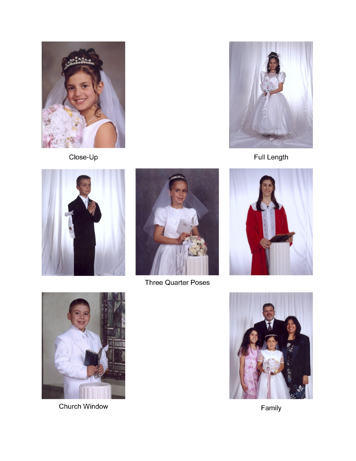

Close-Up



Full Length





**Three Quarter Poses** 





Family



Church Window